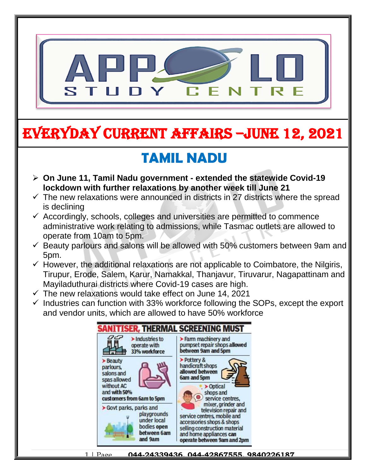

# EVERYDAY CURRENT AFFAIRS –jUNE 12, 2021

# **TAMIL NADU**

- **On June 11, Tamil Nadu government - extended the statewide Covid-19 lockdown with further relaxations by another week till June 21**
- $\checkmark$  The new relaxations were announced in districts in 27 districts where the spread is declining
- $\checkmark$  Accordingly, schools, colleges and universities are permitted to commence administrative work relating to admissions, while Tasmac outlets are allowed to operate from 10am to 5pm.
- $\checkmark$  Beauty parlours and salons will be allowed with 50% customers between 9am and 5pm.
- $\checkmark$  However, the additional relaxations are not applicable to Coimbatore, the Nilgiris, Tirupur, Erode, Salem, Karur, Namakkal, Thanjavur, Tiruvarur, Nagapattinam and Mayiladuthurai districts where Covid-19 cases are high.
- $\checkmark$  The new relaxations would take effect on June 14, 2021

-

 $\checkmark$  Industries can function with 33% workforce following the SOPs, except the export and vendor units, which are allowed to have 50% workforce

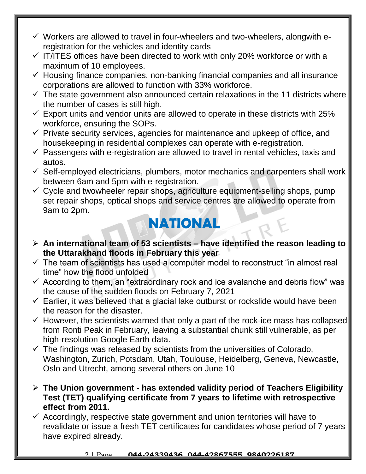- $\checkmark$  Workers are allowed to travel in four-wheelers and two-wheelers, alongwith eregistration for the vehicles and identity cards
- $\checkmark$  IT/ITES offices have been directed to work with only 20% workforce or with a maximum of 10 employees.
- $\checkmark$  Housing finance companies, non-banking financial companies and all insurance corporations are allowed to function with 33% workforce.
- $\checkmark$  The state government also announced certain relaxations in the 11 districts where the number of cases is still high.
- $\checkmark$  Export units and vendor units are allowed to operate in these districts with 25% workforce, ensuring the SOPs.
- $\checkmark$  Private security services, agencies for maintenance and upkeep of office, and housekeeping in residential complexes can operate with e-registration.
- $\checkmark$  Passengers with e-registration are allowed to travel in rental vehicles, taxis and autos.
- $\checkmark$  Self-employed electricians, plumbers, motor mechanics and carpenters shall work between 6am and 5pm with e-registration.
- $\checkmark$  Cycle and twowheeler repair shops, agriculture equipment-selling shops, pump set repair shops, optical shops and service centres are allowed to operate from 9am to 2pm.

### **NATIONAL**

- **An international team of 53 scientists – have identified the reason leading to the Uttarakhand floods in February this year**
- $\checkmark$  The team of scientists has used a computer model to reconstruct "in almost real time" how the flood unfolded
- $\checkmark$  According to them, an "extraordinary rock and ice avalanche and debris flow" was the cause of the sudden floods on February 7, 2021
- $\checkmark$  Earlier, it was believed that a glacial lake outburst or rockslide would have been the reason for the disaster.
- $\checkmark$  However, the scientists warned that only a part of the rock-ice mass has collapsed from Ronti Peak in February, leaving a substantial chunk still vulnerable, as per high-resolution Google Earth data.
- $\checkmark$  The findings was released by scientists from the universities of Colorado, Washington, Zurich, Potsdam, Utah, Toulouse, Heidelberg, Geneva, Newcastle, Oslo and Utrecht, among several others on June 10
- **The Union government - has extended validity period of Teachers Eligibility Test (TET) qualifying certificate from 7 years to lifetime with retrospective effect from 2011.**
- $\checkmark$  Accordingly, respective state government and union territories will have to revalidate or issue a fresh TET certificates for candidates whose period of 7 years have expired already.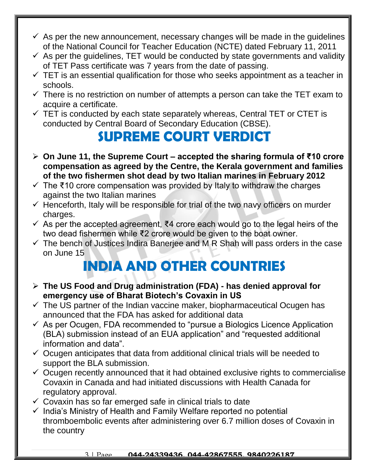- $\checkmark$  As per the new announcement, necessary changes will be made in the quidelines of the National Council for Teacher Education (NCTE) dated February 11, 2011
- $\checkmark$  As per the quidelines, TET would be conducted by state governments and validity of TET Pass certificate was 7 years from the date of passing.
- $\checkmark$  TET is an essential qualification for those who seeks appointment as a teacher in schools.
- $\checkmark$  There is no restriction on number of attempts a person can take the TET exam to acquire a certificate.
- $\checkmark$  TET is conducted by each state separately whereas, Central TET or CTET is conducted by Central Board of Secondary Education (CBSE).

## **SUPREME COURT VERDICT**

- **On June 11, the Supreme Court – accepted the sharing formula of ₹10 crore compensation as agreed by the Centre, the Kerala government and families of the two fishermen shot dead by two Italian marines in February 2012**
- $\checkmark$  The ₹10 crore compensation was provided by Italy to withdraw the charges against the two Italian marines
- $\checkmark$  Henceforth, Italy will be responsible for trial of the two navy officers on murder charges.
- $\checkmark$  As per the accepted agreement, ₹4 crore each would go to the legal heirs of the two dead fishermen while ₹2 crore would be given to the boat owner.
- $\checkmark$  The bench of Justices Indira Banerjee and M R Shah will pass orders in the case on June 15

## **INDIA AND OTHER COUNTRIES**

- **The US Food and Drug administration (FDA) - has denied approval for emergency use of Bharat Biotech's Covaxin in US**
- $\checkmark$  The US partner of the Indian vaccine maker, biopharmaceutical Ocugen has announced that the FDA has asked for additional data
- $\checkmark$  As per Ocugen, FDA recommended to "pursue a Biologics Licence Application (BLA) submission instead of an EUA application" and "requested additional information and data".
- $\checkmark$  Ocugen anticipates that data from additional clinical trials will be needed to support the BLA submission.
- $\checkmark$  Ocugen recently announced that it had obtained exclusive rights to commercialise Covaxin in Canada and had initiated discussions with Health Canada for regulatory approval.
- $\checkmark$  Covaxin has so far emerged safe in clinical trials to date
- $\checkmark$  India's Ministry of Health and Family Welfare reported no potential thromboembolic events after administering over 6.7 million doses of Covaxin in the country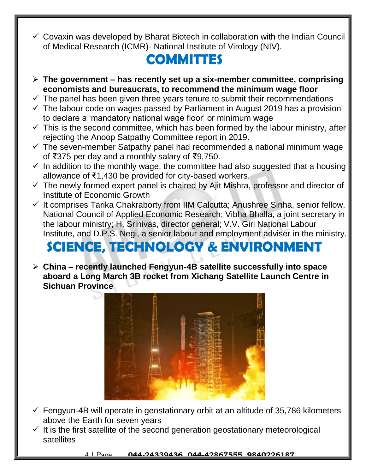$\checkmark$  Covaxin was developed by Bharat Biotech in collaboration with the Indian Council of Medical Research (ICMR)- National Institute of Virology (NIV).

#### **COMMITTES**

- **The government – has recently set up a six-member committee, comprising economists and bureaucrats, to recommend the minimum wage floor**
- $\checkmark$  The panel has been given three years tenure to submit their recommendations
- $\checkmark$  The labour code on wages passed by Parliament in August 2019 has a provision to declare a 'mandatory national wage floor' or minimum wage
- $\checkmark$  This is the second committee, which has been formed by the labour ministry, after rejecting the Anoop Satpathy Committee report in 2019.
- $\checkmark$  The seven-member Satpathy panel had recommended a national minimum wage of ₹375 per day and a monthly salary of ₹9,750.
- $\checkmark$  In addition to the monthly wage, the committee had also suggested that a housing allowance of ₹1,430 be provided for city-based workers.
- $\checkmark$  The newly formed expert panel is chaired by Ajit Mishra, professor and director of Institute of Economic Growth
- $\checkmark$  It comprises Tarika Chakraborty from IIM Calcutta; Anushree Sinha, senior fellow, National Council of Applied Economic Research; Vibha Bhalla, a joint secretary in the labour ministry; H. Srinivas, director general; V.V. Giri National Labour Institute, and D.P.S. Negi, a senior labour and employment adviser in the ministry.

# **SCIENCE, TECHNOLOGY & ENVIRONMENT**

 **China – recently launched Fengyun-4B satellite successfully into space aboard a Long March 3B rocket from Xichang Satellite Launch Centre in Sichuan Province**



- $\checkmark$  Fengyun-4B will operate in geostationary orbit at an altitude of 35,786 kilometers above the Earth for seven years
- $\checkmark$  It is the first satellite of the second generation geostationary meteorological satellites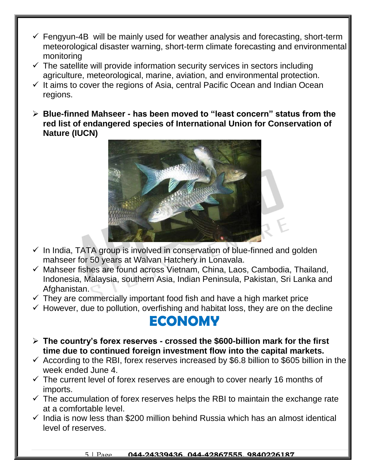- $\checkmark$  Fengyun-4B will be mainly used for weather analysis and forecasting, short-term meteorological disaster warning, short-term climate forecasting and environmental monitoring
- $\checkmark$  The satellite will provide information security services in sectors including agriculture, meteorological, marine, aviation, and environmental protection.
- $\checkmark$  It aims to cover the regions of Asia, central Pacific Ocean and Indian Ocean regions.
- **Blue-finned Mahseer - has been moved to "least concern" status from the red list of endangered species of International Union for Conservation of Nature (IUCN)**



- $\checkmark$  In India, TATA group is involved in conservation of blue-finned and golden mahseer for 50 years at Walvan Hatchery in Lonavala.
- $\checkmark$  Mahseer fishes are found across Vietnam, China, Laos, Cambodia, Thailand, Indonesia, Malaysia, southern Asia, Indian Peninsula, Pakistan, Sri Lanka and Afghanistan.
- $\checkmark$  They are commercially important food fish and have a high market price
- $\checkmark$  However, due to pollution, overfishing and habitat loss, they are on the decline

#### **ECONOMY**

- **The country's forex reserves - crossed the \$600-billion mark for the first time due to continued foreign investment flow into the capital markets.**
- $\checkmark$  According to the RBI, forex reserves increased by \$6.8 billion to \$605 billion in the week ended June 4.
- $\checkmark$  The current level of forex reserves are enough to cover nearly 16 months of imports.
- $\checkmark$  The accumulation of forex reserves helps the RBI to maintain the exchange rate at a comfortable level.
- $\checkmark$  India is now less than \$200 million behind Russia which has an almost identical level of reserves.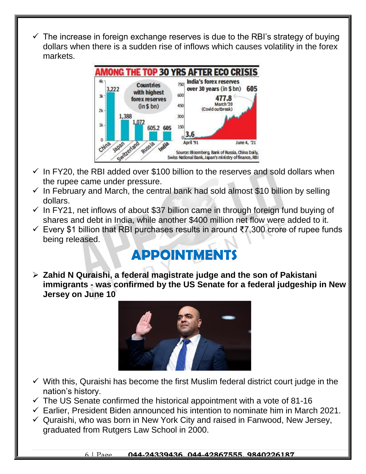$\checkmark$  The increase in foreign exchange reserves is due to the RBI's strategy of buying dollars when there is a sudden rise of inflows which causes volatility in the forex markets.



- $\checkmark$  In FY20, the RBI added over \$100 billion to the reserves and sold dollars when the rupee came under pressure.
- $\checkmark$  In February and March, the central bank had sold almost \$10 billion by selling dollars.
- $\checkmark$  In FY21, net inflows of about \$37 billion came in through foreign fund buying of shares and debt in India, while another \$400 million net flow were added to it.
- Every \$1 billion that RBI purchases results in around ₹7,300 crore of rupee funds being released.

### **APPOINTMENTS**

 **Zahid N Quraishi, a federal magistrate judge and the son of Pakistani immigrants - was confirmed by the US Senate for a federal judgeship in New Jersey on June 10**



- $\checkmark$  With this, Quraishi has become the first Muslim federal district court judge in the nation's history.
- $\checkmark$  The US Senate confirmed the historical appointment with a vote of 81-16
- $\checkmark$  Earlier, President Biden announced his intention to nominate him in March 2021.
- $\checkmark$  Quraishi, who was born in New York City and raised in Fanwood, New Jersey, graduated from Rutgers Law School in 2000.